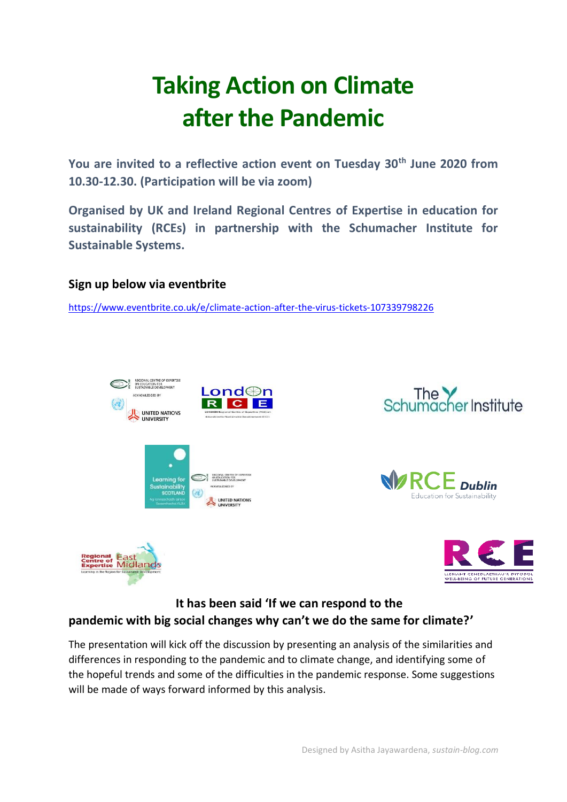# **Taking Action on Climate after the Pandemic**

**You are invited to a reflective action event on Tuesday 30th June 2020 from 10.30-12.30. (Participation will be via zoom)**

**Organised by UK and Ireland Regional Centres of Expertise in education for sustainability (RCEs) in partnership with the Schumacher Institute for Sustainable Systems.**

## **Sign up below via eventbrite**

<https://www.eventbrite.co.uk/e/climate-action-after-the-virus-tickets-107339798226>





The presentation will kick off the discussion by presenting an analysis of the similarities and differences in responding to the pandemic and to climate change, and identifying some of the hopeful trends and some of the difficulties in the pandemic response. Some suggestions will be made of ways forward informed by this analysis.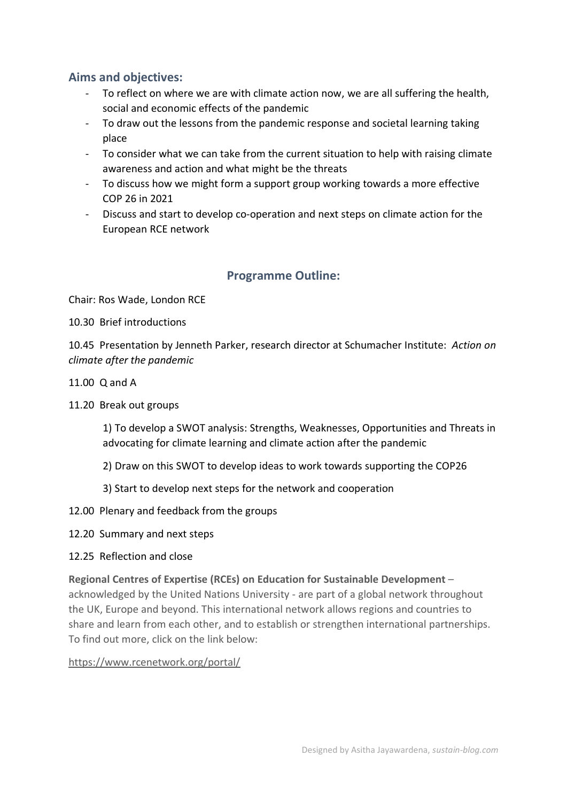## **Aims and objectives:**

- To reflect on where we are with climate action now, we are all suffering the health, social and economic effects of the pandemic
- To draw out the lessons from the pandemic response and societal learning taking place
- To consider what we can take from the current situation to help with raising climate awareness and action and what might be the threats
- To discuss how we might form a support group working towards a more effective COP 26 in 2021
- Discuss and start to develop co-operation and next steps on climate action for the European RCE network

## **Programme Outline:**

Chair: Ros Wade, London RCE

10.30 Brief introductions

10.45 Presentation by Jenneth Parker, research director at Schumacher Institute: *Action on climate after the pandemic*

- 11.00 Q and A
- 11.20 Break out groups

1) To develop a SWOT analysis: Strengths, Weaknesses, Opportunities and Threats in advocating for climate learning and climate action after the pandemic

- 2) Draw on this SWOT to develop ideas to work towards supporting the COP26
- 3) Start to develop next steps for the network and cooperation
- 12.00 Plenary and feedback from the groups
- 12.20 Summary and next steps
- 12.25 Reflection and close

#### **Regional Centres of Expertise (RCEs) on Education for Sustainable Development** –

acknowledged by the United Nations University - are part of a global network throughout the UK, Europe and beyond. This international network allows regions and countries to share and learn from each other, and to establish or strengthen international partnerships. To find out more, click on the link below:

#### [https://www.rcenetwork.org/portal/](about:blank)